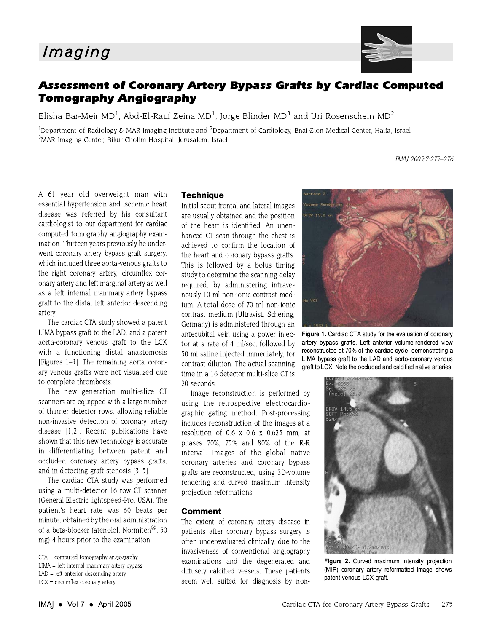

## **Assessment of Coronary Artery Bypass Grafts by Cardiac Computed Tomography Angiography**

Elisha Bar-Meir MD<sup>1</sup>, Abd-El-Rauf Zeina MD<sup>1</sup>, Jorge Blinder MD<sup>3</sup> and Uri Rosenschein MD<sup>2</sup>

<sup>1</sup>Department of Radiology & MAR Imaging Institute and <sup>2</sup>Department of Cardiology, Bnai-Zion Medical Center, Haifa, Israel <sup>3</sup>MAR Imaging Center, Bikur Cholim Hospital, Jerusalem, Israel

A 61 year old overweight man with essential hypertension and ischemic heart disease was referred by his consultant cardiologist to our department for cardiac computed tomography angiography examination. Thirteen years previously he underwent coronary artery bypass graft surgery, which included three aorta-venous grafts to the right coronary artery, circumflex coronary artery and left marginal artery as well as a left internal mammary artery bypass graft to the distal left anterior descending artery.

The cardiac CTA study showed a patent LIMA bypass graft to the LAD, and a patent aorta-coronary venous graft to the LCX with a functioning distal anastomosis [Figures 1-3]. The remaining aorta coronary venous grafts were not visualized due to complete thrombosis.

The new generation multi-slice CT scanners are equipped with a large number of thinner detector rows, allowing reliable non-invasive detection of coronary artery disease [1,2]. Recent publications have shown that this new technology is accurate in differentiating between patent and occluded coronary artery bypass grafts, and in detecting graft stenosis [3-5].

The cardiac CTA study was performed using a multi-detector 16 row CT scanner (General Electric lightspeed-Pro, USA). The patient's heart rate was 60 beats per minute, obtained by the oral administration of a beta-blocker (atenolol, Normiten®, 50 mg) 4 hours prior to the examination.

 $LAD = left$  anterior descending artery  $LCX = circumflex\,\,coronary\,\,artery$ 

## **Technique**

Initial scout frontal and lateral images are usually obtained and the position of the heart is identified. An unenhanced CT scan through the chest is achieved to confirm the location of the heart and coronary bypass grafts. This is followed by a bolus timing study to determine the scanning delay required, by administering intravenously 10 ml non-ionic contrast medium. A total dose of 70 ml non-ionic contrast medium (Ultravist, Schering, Germany) is administered through an antecubital vein using a power injector at a rate of 4 ml/sec, followed by 50 ml saline injected immediately, for contrast dilution. The actual scanning time in a 16 detector multi-slice CT is 20 seconds.

Image reconstruction is performed by using the retrospective electrocardiographic gating method. Post-processing includes reconstruction of the images at a resolution of 0.6 x 0.6 x 0.625 mm, at phases 70%, 75% and 80% of the R-R interval. Images of the global native coronary arteries and coronary bypass grafts are reconstructed, using 3D-volume rendering and curved maximum intensity projection reformations.

## **Comment**

The extent of coronary artery disease in patients after coronary bypass surgery is often underevaluated clinically, due to the invasiveness of conventional angiography examinations and the degenerated and diffusely calcified vessels. These patients seem well suited for diagnosis by non-



Figure 1. Cardiac CTA study for the evaluation of coronary artery bypass grafts. Left anterior volume-rendered view reconstructed at 70% of the cardiac cycle, demonstrating a LIMA bypass graft to the LAD and aorto-coronary venous graft to LCX. Note the occluded and calcified native arteries.



Figure 2. Curved maximum intensity projection (MIP) coronary artery reformatted image shows patent venous-LCX graft.

IMAI 2005:7:275-276

 $CTA = computed tomography angiography$ 

LIMA = left internal mammary artery bypass